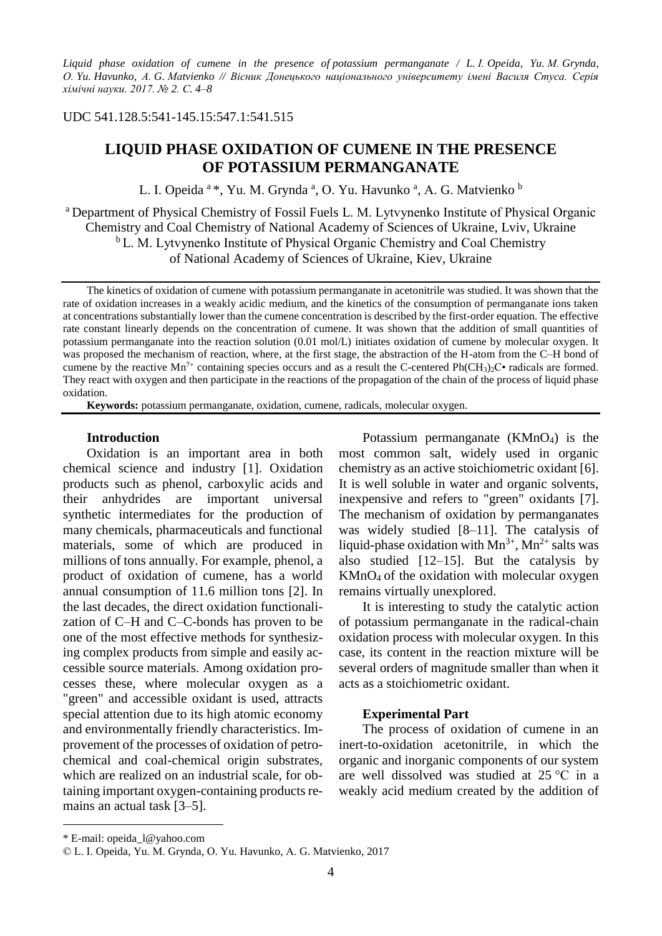*Liquid phase oxidation of cumene in the presence of potassium permanganate / L. І. Opeida, Yu. М. Grynda, О. Yu. Havunko, А. G. Маtvienko // Вісник Донецького національного університету імені Василя Стуса. Серія хімічні науки. 2017. № 2. С. 4–8*

## UDC 541.128.5:541-145.15:547.1:541.515

# **LIQUID PHASE OXIDATION OF CUMENE IN THE PRESENCE OF POTASSIUM PERMANGANATE**

L. I. Opeida <sup>a</sup> \*, Yu. M. Grynda <sup>a</sup>, O. Yu. Havunko <sup>a</sup>, A. G. Matvienko <sup>b</sup>

a Department of Physical Chemistry of Fossil Fuels L. M. Lytvynenko Institute of Physical Organic Chemistry and Coal Chemistry of National Academy of Sciences of Ukraine, Lviv, Ukraine <sup>b</sup> L. M. Lytyynenko Institute of Physical Organic Chemistry and Coal Chemistry of National Academy of Sciences of Ukraine, Kiev, Ukraine

The kinetics of oxidation of cumene with potassium permanganate in acetonitrile was studied. It was shown that the rate of oxidation increases in a weakly acidic medium, and the kinetics of the consumption of permanganate ions taken at concentrations substantially lower than the cumene concentration is described by the first-order equation. The effective rate constant linearly depends on the concentration of cumene. It was shown that the addition of small quantities of potassium permanganate into the reaction solution (0.01 mol/L) initiates oxidation of cumene by molecular oxygen. It was proposed the mechanism of reaction, where, at the first stage, the abstraction of the H-atom from the C–H bond of cumene by the reactive  $Mn^{7+}$  containing species occurs and as a result the C-centered Ph(CH<sub>3</sub>)<sub>2</sub>C• radicals are formed. They react with oxygen and then participate in the reactions of the propagation of the chain of the process of liquid phase oxidation.

**Keywords:** potassium permanganate, oxidation, cumene, radicals, molecular oxygen.

## **Introduction**

Oxidation is an important area in both chemical science and industry [1]. Oxidation products such as phenol, carboxylic acids and their anhydrides are important universal synthetic intermediates for the production of many chemicals, pharmaceuticals and functional materials, some of which are produced in millions of tons annually. For example, phenol, a product of oxidation of cumene, has a world annual consumption of 11.6 million tons [2]. In the last decades, the direct oxidation functionalization of C–H and C–C-bonds has proven to be one of the most effective methods for synthesizing complex products from simple and easily accessible source materials. Among oxidation processes these, where molecular oxygen as a "green" and accessible oxidant is used, attracts special attention due to its high atomic economy and environmentally friendly characteristics. Improvement of the processes of oxidation of petrochemical and coal-chemical origin substrates, which are realized on an industrial scale, for obtaining important oxygen-containing products remains an actual task [3–5].

Potassium permanganate (KMnO4) is the most common salt, widely used in organic chemistry as an active stoichiometric oxidant [6]. It is well soluble in water and organic solvents, inexpensive and refers to "green" oxidants [7]. The mechanism of oxidation by permanganates was widely studied [8–11]. The catalysis of liquid-phase oxidation with  $Mn^{3+}$ ,  $Mn^{2+}$  salts was also studied  $[12-15]$ . But the catalysis by  $KMnO<sub>4</sub>$  of the oxidation with molecular oxygen remains virtually unexplored.

It is interesting to study the catalytic action of potassium permanganate in the radical-chain oxidation process with molecular oxygen. In this case, its content in the reaction mixture will be several orders of magnitude smaller than when it acts as a stoichiometric oxidant.

## **Experimental Part**

The process of oxidation of cumene in an inert-to-oxidation acetonitrile, in which the organic and inorganic components of our system are well dissolved was studied at 25 °С in a weakly acid medium created by the addition of

-

<sup>\*</sup> E-mail: opeida\_l@yahoo.com

<sup>©</sup> L. І. Opeida, Yu. М. Grynda, О. Yu. Havunko, А. G. Маtvienko, 2017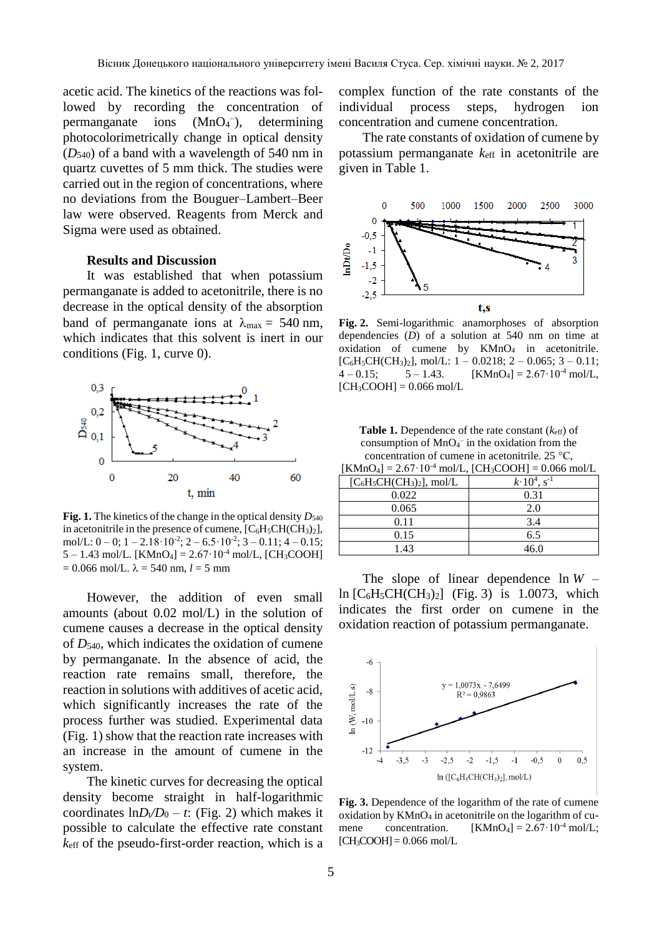acetic acid. The kinetics of the reactions was followed by recording the concentration of permanganate ions (MnO<sub>4</sub><sup>-</sup>), determining photocolorimetrically change in optical density (*D*540) of a band with a wavelength of 540 nm in quartz cuvettes of 5 mm thick. The studies were carried out in the region of concentrations, where no deviations from the Bouguer–Lambert–Beer law were observed. Reagents from Merck and Sigma were used as obtained.

## **Results and Discussion**

It was established that when potassium permanganate is added to acetonitrile, there is no decrease in the optical density of the absorption band of permanganate ions at  $\lambda_{\text{max}} = 540 \text{ nm}$ , which indicates that this solvent is inert in our conditions (Fig. 1, curve 0).



**Fig. 1.** The kinetics of the change in the optical density  $D_{540}$ in acetonitrile in the presence of cumene,  $[C_6H_5CH(CH_3)_2]$ , mol/L:  $0 - 0$ ;  $1 - 2.18 \cdot 10^{-2}$ ;  $2 - 6.5 \cdot 10^{-2}$ ;  $3 - 0.11$ ;  $4 - 0.15$ ;  $5 - 1.43$  mol/L. [KMnO<sub>4</sub>] =  $2.67 \cdot 10^{-4}$  mol/L, [CH<sub>3</sub>COOH]  $= 0.066$  mol/L,  $\lambda = 540$  nm,  $l = 5$  mm

However, the addition of even small amounts (about 0.02 mol/L) in the solution of cumene causes a decrease in the optical density of *D*540, which indicates the oxidation of cumene by permanganate. In the absence of acid, the reaction rate remains small, therefore, the reaction in solutions with additives of acetic acid, which significantly increases the rate of the process further was studied. Experimental data (Fig. 1) show that the reaction rate increases with an increase in the amount of cumene in the system.

The kinetic curves for decreasing the optical density become straight in half-logarithmic coordinates  $\ln D_v/D_0 - t$ : (Fig. 2) which makes it possible to calculate the effective rate constant *k*eff of the pseudo-first-order reaction, which is a

complex function of the rate constants of the individual process steps, hydrogen ion concentration and cumene concentration.

The rate constants of oxidation of cumene by potassium permanganate *k*eff in acetonitrile are given in Table 1.



**Fig. 2.** Semi-logarithmic anamorphoses of absorption dependencies (*D*) of a solution at 540 nm on time at oxidation of cumene by KMnO<sub>4</sub> in acetonitrile.  $[C_6H_5CH(CH_3)_2]$ , mol/L:  $1-0.0218$ ;  $2-0.065$ ;  $3-0.11$ ;  $4 - 0.15$ ;  $5 - 1.43$ . [KMnO<sub>4</sub>] = 2.67·10<sup>-4</sup> mol/L,  $[CH_3COOH] = 0.066$  mol/L

**Table 1.** Dependence of the rate constant (*k*eff) of consumption of  $MnO<sub>4</sub>$  in the oxidation from the concentration of cumene in acetonitrile. 25 °С,

|                              | $[KMnO_4] = 2.67 \cdot 10^{-4}$ mol/L, $[CH_3COOH] = 0.066$ mol/L |
|------------------------------|-------------------------------------------------------------------|
| $[C_6H_5CH(CH_3)_2]$ , mol/L | $k \cdot 10^4$ , s <sup>-1</sup>                                  |
| 0.022                        | 0.31                                                              |
| 0.065                        | 2.0                                                               |
| 0.11                         | 3.4                                                               |
| 0.15                         | 6.5                                                               |
| 1 43                         | 46 N                                                              |

The slope of linear dependence  $\ln W$  – ln  $[C_6H_5CH(CH_3)_2]$  (Fig. 3) is 1.0073, which indicates the first order on cumene in the oxidation reaction of potassium permanganate.



**Fig. 3.** Dependence of the logarithm of the rate of cumene oxidation by KMnO<sup>4</sup> in acetonitrile on the logarithm of cumene concentration.  $[KMnO_4] = 2.67 \cdot 10^{-4}$  mol/L;  $[CH<sub>3</sub>COOH] = 0.066$  mol/L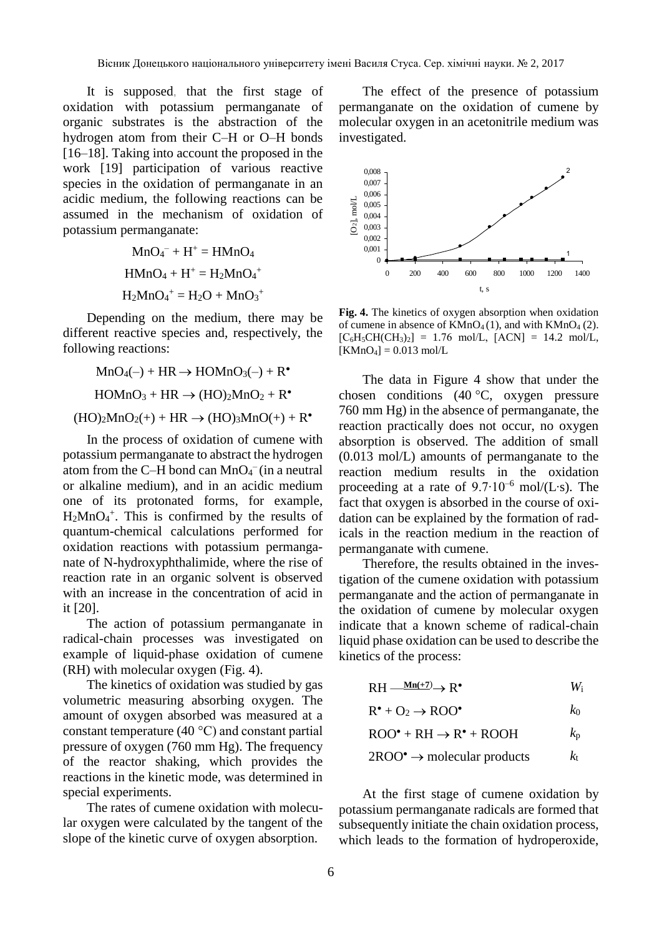It is supposed, that the first stage of oxidation with potassium permanganate of organic substrates is the abstraction of the hydrogen atom from their C–H or O–H bonds [16–18]. Taking into account the proposed in the work [19] participation of various reactive species in the oxidation of permanganate in an acidic medium, the following reactions can be assumed in the mechanism of oxidation of potassium permanganate:

> $MnO_4^- + H^+ = HMnO_4$  $HMnO_4 + H^+ = H_2MnO_4^+$  $H_2MnO_4^+ = H_2O + MnO_3^+$

Depending on the medium, there may be different reactive species and, respectively, the following reactions:

 $MnO_4(-) + HR \rightarrow HOMnO_3(-) + R^{\bullet}$  $HOMnO<sub>3</sub> + HR \rightarrow (HO)<sub>2</sub>MnO<sub>2</sub> + R<sup>•</sup>$  $(HO<sub>2</sub>MnO<sub>2</sub>(+) + HR \rightarrow (HO)<sub>3</sub>MnO(+) + R<sup>•</sup>$ 

In the process of oxidation of cumene with potassium permanganate to abstract the hydrogen atom from the C-H bond can  $MnO<sub>4</sub><sup>-</sup>$  (in a neutral or alkaline medium), and in an acidic medium one of its protonated forms, for example,  $H_2MnO_4^+$ . This is confirmed by the results of quantum-chemical calculations performed for oxidation reactions with potassium permanganate of N-hydroxyphthalimide, where the rise of reaction rate in an organic solvent is observed with an increase in the concentration of acid in it [20].

The action of potassium permanganate in radical-chain processes was investigated on example of liquid-phase oxidation of cumene (RH) with molecular oxygen (Fig. 4).

The kinetics of oxidation was studied by gas volumetric measuring absorbing oxygen. The amount of oxygen absorbed was measured at a constant temperature (40 °C) and constant partial pressure of oxygen (760 mm Hg). The frequency of the reactor shaking, which provides the reactions in the kinetic mode, was determined in special experiments.

The rates of cumene oxidation with molecular oxygen were calculated by the tangent of the slope of the kinetic curve of oxygen absorption.

The effect of the presence of potassium permanganate on the oxidation of cumene by molecular oxygen in an acetonitrile medium was investigated.



**Fig. 4.** The kinetics of oxygen absorption when oxidation of cumene in absence of  $KMnO_4(1)$ , and with  $KMnO_4(2)$ .  $[C_6H_5CH(CH_3)_2] = 1.76 \text{ mol/L}$ ,  $[ACN] = 14.2 \text{ mol/L}$ ,  $[KMnO_4] = 0.013$  mol/L

The data in Figure 4 show that under the chosen conditions (40 °C, oxygen pressure 760 mm Hg) in the absence of permanganate, the reaction practically does not occur, no oxygen absorption is observed. The addition of small (0.013 mol/L) amounts of permanganate to the reaction medium results in the oxidation proceeding at a rate of 9.7∙10–<sup>6</sup> mol/(L∙s). The fact that oxygen is absorbed in the course of oxidation can be explained by the formation of radicals in the reaction medium in the reaction of permanganate with cumene.

Therefore, the results obtained in the investigation of the cumene oxidation with potassium permanganate and the action of permanganate in the oxidation of cumene by molecular oxygen indicate that a known scheme of radical-chain liquid phase oxidation can be used to describe the kinetics of the process:

 $RH \xrightarrow{Mn(+7)} \rightarrow R^{\bullet}$  *W*<sub>i</sub>

| $R^{\bullet} + O_2 \rightarrow ROO^{\bullet}$ |
|-----------------------------------------------|
|                                               |

| $ROO^{\bullet} + RH \rightarrow R^{\bullet} + ROOH$ | $k_{\rm p}$ |
|-----------------------------------------------------|-------------|
|                                                     |             |

$$
2\text{ROO}^{\bullet} \to \text{molecular products} \qquad k_{t}
$$

At the first stage of cumene oxidation by potassium permanganate radicals are formed that subsequently initiate the chain oxidation process, which leads to the formation of hydroperoxide,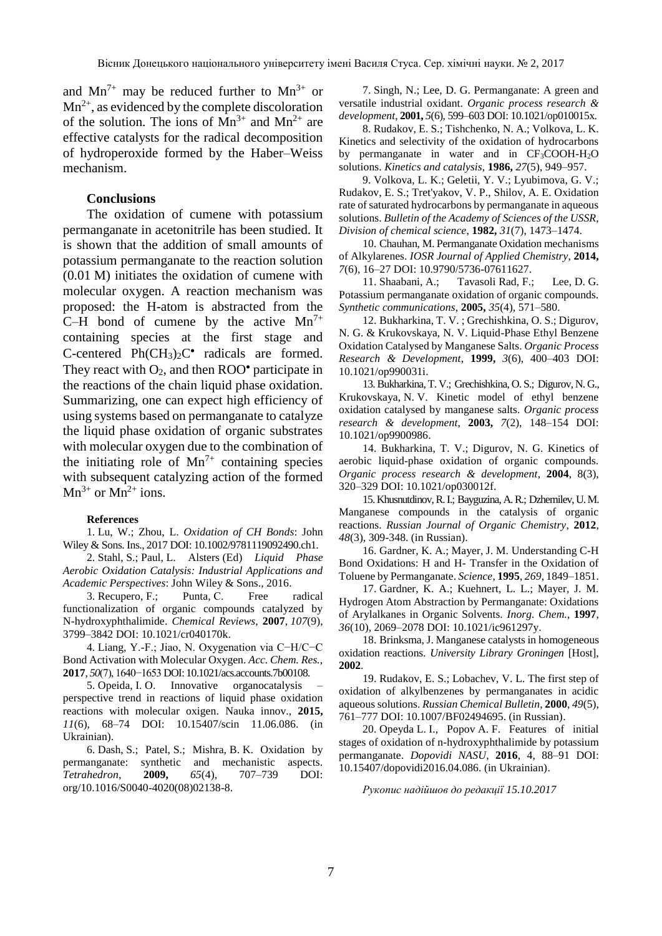and  $Mn^{7+}$  may be reduced further to  $Mn^{3+}$  or  $Mn^{2+}$ , as evidenced by the complete discoloration of the solution. The ions of  $Mn^{3+}$  and  $Mn^{2+}$  are effective catalysts for the radical decomposition of hydroperoxide formed by the Haber–Weiss mechanism.

### **Conclusions**

The oxidation of cumene with potassium permanganate in acetonitrile has been studied. It is shown that the addition of small amounts of potassium permanganate to the reaction solution (0.01 M) initiates the oxidation of cumene with molecular oxygen. A reaction mechanism was proposed: the H-atom is abstracted from the C–H bond of cumene by the active  $Mn^{7+}$ containing species at the first stage and C-centered  $Ph(CH_3)_2C^{\bullet}$  radicals are formed. They react with  $O_2$ , and then  $ROO<sup>•</sup>$  participate in the reactions of the chain liquid phase oxidation. Summarizing, one can expect high efficiency of using systems based on permanganate to catalyze the liquid phase oxidation of organic substrates with molecular oxygen due to the combination of the initiating role of  $Mn^{7+}$  containing species with subsequent catalyzing action of the formed  $Mn^{3+}$  or  $Mn^{2+}$  ions.

#### **References**

1. Lu, W.; Zhou, L. *Oxidation of CH Bonds*: John Wiley & Sons. Ins., 2017 DOI: 10.1002/9781119092490.ch1.

2. Stahl, S.; Paul, L. Alsters (Ed) *Liquid Phase Aerobic Oxidation Catalysis: Industrial Applications and Academic Perspectives*: John Wiley & Sons., 2016.

3. Recupero, F.; Punta, С. Free radical functionalization of organic compounds catalyzed by N-hydroxyphthalimide. *Chemical Reviews*, **2007**, *107*(9), 3799–3842 DOI: 10.1021/cr040170k.

4. Liang, Y.-F.; Jiao, N. Oxygenation via C−H/C−C Bond Activation with Molecular Oxygen. *Acc. Chem. Res.*, **2017**, *50*(7), 1640−1653 DOI: 10.1021/acs.accounts.7b00108.

5. Opeida, I. O. Innovative organocatalysis – perspective trend in reactions of liquid phase oxidation reactions with molecular oxigen. Nauka innov., **2015,**  *11*(6), 68–74 DOI: 10.15407/scin 11.06.086. (in Ukrainian).

6. Dash, S.; Patel, S.; Mishra, B. K. Oxidation by permanganate: synthetic and mechanistic aspects. *Tetrahedron*, **2009,** *65*(4), 707–739 DOI: org/10.1016/S0040-4020(08)02138-8.

7. Singh, N.; Lee, D. G. Permanganate: A green and versatile industrial oxidant. *Organic process research & development*, **2001,** *5*(6), 599–603 DOI: 10.1021/op010015x.

8. Rudakov, E. S.; Tishchenko, N. A.; Volkova, L. K. Kinetics and selectivity of the oxidation of hydrocarbons by permanganate in water and in  $CF<sub>3</sub>COOH-H<sub>2</sub>O$ solutions. *Kinetics and catalysis*, **1986,** *27*(5), 949–957.

9. Volkova, L. K.; Geletii, Y. V.; Lyubimova, G. V.; Rudakov, E. S.; Tret'yakov, V. P., Shilov, A. E. Oxidation rate of saturated hydrocarbons by permanganate in aqueous solutions. *Bulletin of the Academy of Sciences of the USSR, Division of chemical science*, **1982,** *31*(7), 1473–1474.

10. Chauhan, M. Permanganate Oxidation mechanisms of Alkylarenes. *IOSR Journal of Applied Chemistry*, **2014,**  *7*(6), 16–27 DOI: 10.9790/5736-07611627.

11. Shaabani, A.; Tavasoli Rad, F.; Lee, D. G. Potassium permanganate oxidation of organic compounds. *Synthetic communications*, **2005,** *35*(4), 571–580.

12. Bukharkina, T. V. ; Grechishkina, O. S.; Digurov, N. G. & Krukovskaya, N. V. Liquid-Phase Ethyl Benzene Oxidation Catalysed by Manganese Salts. *Organic Process Research & Development*, **1999,** *3*(6), 400–403 DOI: 10.1021/op990031i.

13.Bukharkina, T. V.; Grechishkina, O. S.; Digurov, N. G., Krukovskaya, N. V. Kinetic model of ethyl benzene oxidation catalysed by manganese salts. *Organic process research & development*, **2003,** *7*(2), 148–154 DOI: 10.1021/op9900986.

14. Bukharkina, T. V.; Digurov, N. G. Kinetics of aerobic liquid-phase oxidation of organic compounds. *Organic process research & development*, **2004**, 8(3), 320–329 DOI: 10.1021/op030012f.

15.Khusnutdinov,R.I.; Bayguzina,A.R.; Dzhemilev,U.M. Manganese compounds in the catalysis of organic reactions. *Russian Journal of Organic Chemistry*, **2012**, *48*(3), 309-348. (in Russian).

16. Gardner, K. A.; Mayer, J. M. Understanding C-H Bond Oxidations: H and H- Transfer in the Oxidation of Toluene by Permanganate. *Science*, **1995**, *269*, 1849–1851.

17. Gardner, K. A.; Kuehnert, L. L.; Mayer, J. M. Hydrogen Atom Abstraction by Permanganate: Oxidations of Arylalkanes in Organic Solvents. *Inorg. Chem.*, **1997**, *36*(10), 2069–2078 DOI: 10.1021/ic961297y.

18. Brinksma, J. Manganese catalysts in homogeneous oxidation reactions. *University Library Groningen* [Host], **2002**.

19. Rudakov, E. S.; Lobachev, V. L. The first step of oxidation of alkylbenzenes by permanganates in acidic aqueous solutions. *Russian Chemical Bulletin*, **2000**, *49*(5), 761–777 DOI: 10.1007/BF02494695. (in Russian).

20. Opeyda L. I., Popov A. F. Features of initial stages of oxidation of n-hydroxyphthalimide by potassium permanganate. *Dopovidi NASU*, **2016**, 4, 88–91 DOI: 10.15407/dopovidi2016.04.086. (in Ukrainian).

*Рукопис надійшов до редакції 15.10.2017*